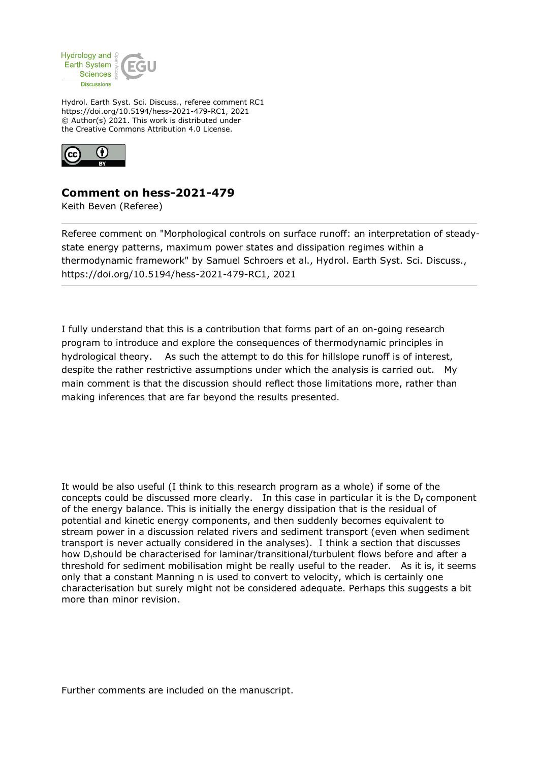

Hydrol. Earth Syst. Sci. Discuss., referee comment RC1 https://doi.org/10.5194/hess-2021-479-RC1, 2021 © Author(s) 2021. This work is distributed under the Creative Commons Attribution 4.0 License.



## **Comment on hess-2021-479**

Keith Beven (Referee)

Referee comment on "Morphological controls on surface runoff: an interpretation of steadystate energy patterns, maximum power states and dissipation regimes within a thermodynamic framework" by Samuel Schroers et al., Hydrol. Earth Syst. Sci. Discuss., https://doi.org/10.5194/hess-2021-479-RC1, 2021

I fully understand that this is a contribution that forms part of an on-going research program to introduce and explore the consequences of thermodynamic principles in hydrological theory. As such the attempt to do this for hillslope runoff is of interest, despite the rather restrictive assumptions under which the analysis is carried out. My main comment is that the discussion should reflect those limitations more, rather than making inferences that are far beyond the results presented.

It would be also useful (I think to this research program as a whole) if some of the concepts could be discussed more clearly. In this case in particular it is the  $D_f$  component of the energy balance. This is initially the energy dissipation that is the residual of potential and kinetic energy components, and then suddenly becomes equivalent to stream power in a discussion related rivers and sediment transport (even when sediment transport is never actually considered in the analyses). I think a section that discusses how D<sub>f</sub>should be characterised for laminar/transitional/turbulent flows before and after a threshold for sediment mobilisation might be really useful to the reader. As it is, it seems only that a constant Manning n is used to convert to velocity, which is certainly one characterisation but surely might not be considered adequate. Perhaps this suggests a bit more than minor revision.

Further comments are included on the manuscript.